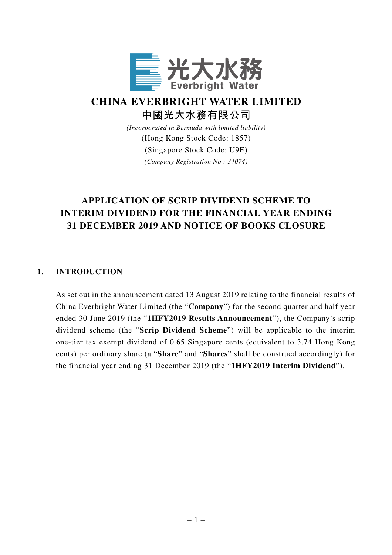

# **CHINA EVERBRIGHT WATER LIMITED 中國光大水務有限公司**

*(Incorporated in Bermuda with limited liability)*

(Hong Kong Stock Code: 1857)

(Singapore Stock Code: U9E)

*(Company Registration No.: 34074)*

# **APPLICATION OF SCRIP DIVIDEND SCHEME TO INTERIM DIVIDEND FOR THE FINANCIAL YEAR ENDING 31 DECEMBER 2019 AND NOTICE OF BOOKS CLOSURE**

#### **1. INTRODUCTION**

As set out in the announcement dated 13 August 2019 relating to the financial results of China Everbright Water Limited (the "**Company**") for the second quarter and half year ended 30 June 2019 (the "**1HFY2019 Results Announcement**"), the Company's scrip dividend scheme (the "**Scrip Dividend Scheme**") will be applicable to the interim one-tier tax exempt dividend of 0.65 Singapore cents (equivalent to 3.74 Hong Kong cents) per ordinary share (a "**Share**" and "**Shares**" shall be construed accordingly) for the financial year ending 31 December 2019 (the "**1HFY2019 Interim Dividend**").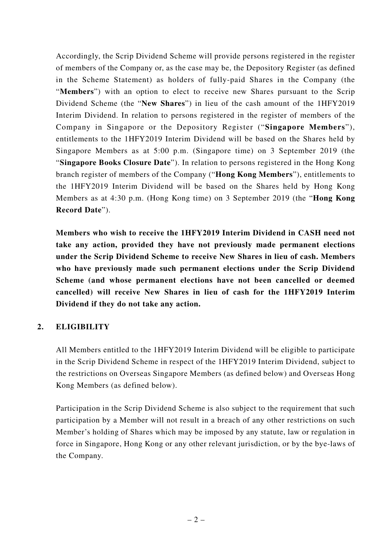Accordingly, the Scrip Dividend Scheme will provide persons registered in the register of members of the Company or, as the case may be, the Depository Register (as defined in the Scheme Statement) as holders of fully-paid Shares in the Company (the "**Members**") with an option to elect to receive new Shares pursuant to the Scrip Dividend Scheme (the "**New Shares**") in lieu of the cash amount of the 1HFY2019 Interim Dividend. In relation to persons registered in the register of members of the Company in Singapore or the Depository Register ("**Singapore Members**"), entitlements to the 1HFY2019 Interim Dividend will be based on the Shares held by Singapore Members as at 5:00 p.m. (Singapore time) on 3 September 2019 (the "**Singapore Books Closure Date**"). In relation to persons registered in the Hong Kong branch register of members of the Company ("**Hong Kong Members**"), entitlements to the 1HFY2019 Interim Dividend will be based on the Shares held by Hong Kong Members as at 4:30 p.m. (Hong Kong time) on 3 September 2019 (the "**Hong Kong Record Date**").

**Members who wish to receive the 1HFY2019 Interim Dividend in CASH need not take any action, provided they have not previously made permanent elections under the Scrip Dividend Scheme to receive New Shares in lieu of cash. Members who have previously made such permanent elections under the Scrip Dividend Scheme (and whose permanent elections have not been cancelled or deemed cancelled) will receive New Shares in lieu of cash for the 1HFY2019 Interim Dividend if they do not take any action.**

## **2. ELIGIBILITY**

All Members entitled to the 1HFY2019 Interim Dividend will be eligible to participate in the Scrip Dividend Scheme in respect of the 1HFY2019 Interim Dividend, subject to the restrictions on Overseas Singapore Members (as defined below) and Overseas Hong Kong Members (as defined below).

Participation in the Scrip Dividend Scheme is also subject to the requirement that such participation by a Member will not result in a breach of any other restrictions on such Member's holding of Shares which may be imposed by any statute, law or regulation in force in Singapore, Hong Kong or any other relevant jurisdiction, or by the bye-laws of the Company.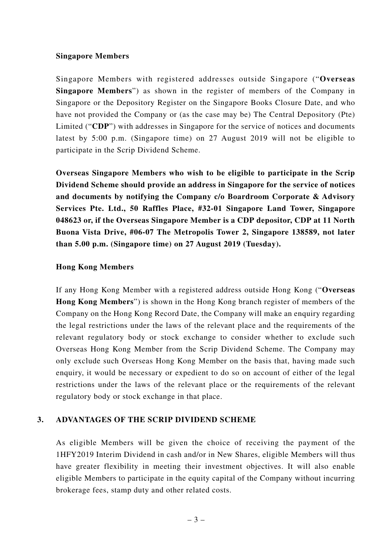#### **Singapore Members**

Singapore Members with registered addresses outside Singapore ("**Overseas Singapore Members**") as shown in the register of members of the Company in Singapore or the Depository Register on the Singapore Books Closure Date, and who have not provided the Company or (as the case may be) The Central Depository (Pte) Limited ("**CDP**") with addresses in Singapore for the service of notices and documents latest by 5:00 p.m. (Singapore time) on 27 August 2019 will not be eligible to participate in the Scrip Dividend Scheme.

**Overseas Singapore Members who wish to be eligible to participate in the Scrip Dividend Scheme should provide an address in Singapore for the service of notices and documents by notifying the Company c/o Boardroom Corporate & Advisory Services Pte. Ltd., 50 Raffles Place, #32-01 Singapore Land Tower, Singapore 048623 or, if the Overseas Singapore Member is a CDP depositor, CDP at 11 North Buona Vista Drive, #06-07 The Metropolis Tower 2, Singapore 138589, not later than 5.00 p.m. (Singapore time) on 27 August 2019 (Tuesday).**

#### **Hong Kong Members**

If any Hong Kong Member with a registered address outside Hong Kong ("**Overseas Hong Kong Members**") is shown in the Hong Kong branch register of members of the Company on the Hong Kong Record Date, the Company will make an enquiry regarding the legal restrictions under the laws of the relevant place and the requirements of the relevant regulatory body or stock exchange to consider whether to exclude such Overseas Hong Kong Member from the Scrip Dividend Scheme. The Company may only exclude such Overseas Hong Kong Member on the basis that, having made such enquiry, it would be necessary or expedient to do so on account of either of the legal restrictions under the laws of the relevant place or the requirements of the relevant regulatory body or stock exchange in that place.

#### **3. ADVANTAGES OF THE SCRIP DIVIDEND SCHEME**

As eligible Members will be given the choice of receiving the payment of the 1HFY2019 Interim Dividend in cash and/or in New Shares, eligible Members will thus have greater flexibility in meeting their investment objectives. It will also enable eligible Members to participate in the equity capital of the Company without incurring brokerage fees, stamp duty and other related costs.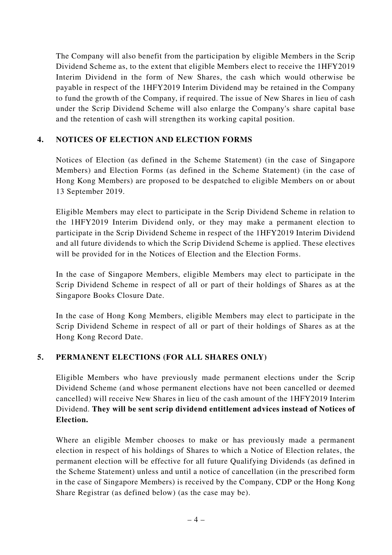The Company will also benefit from the participation by eligible Members in the Scrip Dividend Scheme as, to the extent that eligible Members elect to receive the 1HFY2019 Interim Dividend in the form of New Shares, the cash which would otherwise be payable in respect of the 1HFY2019 Interim Dividend may be retained in the Company to fund the growth of the Company, if required. The issue of New Shares in lieu of cash under the Scrip Dividend Scheme will also enlarge the Company's share capital base and the retention of cash will strengthen its working capital position.

## **4. NOTICES OF ELECTION AND ELECTION FORMS**

Notices of Election (as defined in the Scheme Statement) (in the case of Singapore Members) and Election Forms (as defined in the Scheme Statement) (in the case of Hong Kong Members) are proposed to be despatched to eligible Members on or about 13 September 2019.

Eligible Members may elect to participate in the Scrip Dividend Scheme in relation to the 1HFY2019 Interim Dividend only, or they may make a permanent election to participate in the Scrip Dividend Scheme in respect of the 1HFY2019 Interim Dividend and all future dividends to which the Scrip Dividend Scheme is applied. These electives will be provided for in the Notices of Election and the Election Forms.

In the case of Singapore Members, eligible Members may elect to participate in the Scrip Dividend Scheme in respect of all or part of their holdings of Shares as at the Singapore Books Closure Date.

In the case of Hong Kong Members, eligible Members may elect to participate in the Scrip Dividend Scheme in respect of all or part of their holdings of Shares as at the Hong Kong Record Date.

## **5. PERMANENT ELECTIONS (FOR ALL SHARES ONLY)**

Eligible Members who have previously made permanent elections under the Scrip Dividend Scheme (and whose permanent elections have not been cancelled or deemed cancelled) will receive New Shares in lieu of the cash amount of the 1HFY2019 Interim Dividend. **They will be sent scrip dividend entitlement advices instead of Notices of Election.**

Where an eligible Member chooses to make or has previously made a permanent election in respect of his holdings of Shares to which a Notice of Election relates, the permanent election will be effective for all future Qualifying Dividends (as defined in the Scheme Statement) unless and until a notice of cancellation (in the prescribed form in the case of Singapore Members) is received by the Company, CDP or the Hong Kong Share Registrar (as defined below) (as the case may be).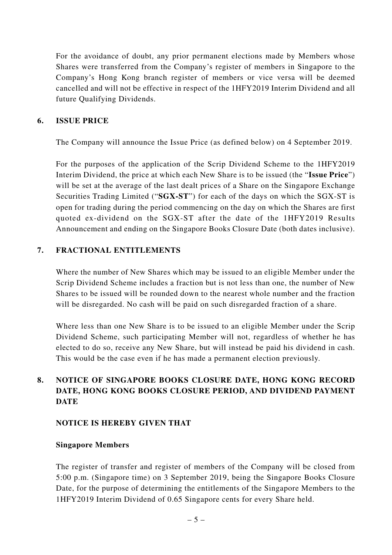For the avoidance of doubt, any prior permanent elections made by Members whose Shares were transferred from the Company's register of members in Singapore to the Company's Hong Kong branch register of members or vice versa will be deemed cancelled and will not be effective in respect of the 1HFY2019 Interim Dividend and all future Qualifying Dividends.

#### **6. ISSUE PRICE**

The Company will announce the Issue Price (as defined below) on 4 September 2019.

For the purposes of the application of the Scrip Dividend Scheme to the 1HFY2019 Interim Dividend, the price at which each New Share is to be issued (the "**Issue Price**") will be set at the average of the last dealt prices of a Share on the Singapore Exchange Securities Trading Limited ("**SGX-ST**") for each of the days on which the SGX-ST is open for trading during the period commencing on the day on which the Shares are first quoted ex-dividend on the SGX-ST after the date of the 1HFY2019 Results Announcement and ending on the Singapore Books Closure Date (both dates inclusive).

#### **7. FRACTIONAL ENTITLEMENTS**

Where the number of New Shares which may be issued to an eligible Member under the Scrip Dividend Scheme includes a fraction but is not less than one, the number of New Shares to be issued will be rounded down to the nearest whole number and the fraction will be disregarded. No cash will be paid on such disregarded fraction of a share.

Where less than one New Share is to be issued to an eligible Member under the Scrip Dividend Scheme, such participating Member will not, regardless of whether he has elected to do so, receive any New Share, but will instead be paid his dividend in cash. This would be the case even if he has made a permanent election previously.

## **8. NOTICE OF SINGAPORE BOOKS CLOSURE DATE, HONG KONG RECORD DATE, HONG KONG BOOKS CLOSURE PERIOD, AND DIVIDEND PAYMENT DATE**

#### **NOTICE IS HEREBY GIVEN THAT**

#### **Singapore Members**

The register of transfer and register of members of the Company will be closed from 5:00 p.m. (Singapore time) on 3 September 2019, being the Singapore Books Closure Date, for the purpose of determining the entitlements of the Singapore Members to the 1HFY2019 Interim Dividend of 0.65 Singapore cents for every Share held.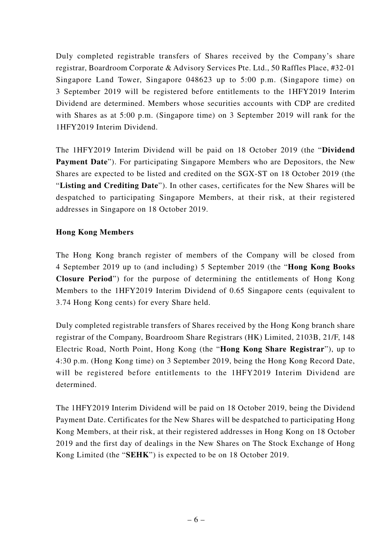Duly completed registrable transfers of Shares received by the Company's share registrar, Boardroom Corporate & Advisory Services Pte. Ltd., 50 Raffles Place, #32-01 Singapore Land Tower, Singapore 048623 up to 5:00 p.m. (Singapore time) on 3 September 2019 will be registered before entitlements to the 1HFY2019 Interim Dividend are determined. Members whose securities accounts with CDP are credited with Shares as at 5:00 p.m. (Singapore time) on 3 September 2019 will rank for the 1HFY2019 Interim Dividend.

The 1HFY2019 Interim Dividend will be paid on 18 October 2019 (the "**Dividend Payment Date**"). For participating Singapore Members who are Depositors, the New Shares are expected to be listed and credited on the SGX-ST on 18 October 2019 (the "**Listing and Crediting Date**"). In other cases, certificates for the New Shares will be despatched to participating Singapore Members, at their risk, at their registered addresses in Singapore on 18 October 2019.

## **Hong Kong Members**

The Hong Kong branch register of members of the Company will be closed from 4 September 2019 up to (and including) 5 September 2019 (the "**Hong Kong Books Closure Period**") for the purpose of determining the entitlements of Hong Kong Members to the 1HFY2019 Interim Dividend of 0.65 Singapore cents (equivalent to 3.74 Hong Kong cents) for every Share held.

Duly completed registrable transfers of Shares received by the Hong Kong branch share registrar of the Company, Boardroom Share Registrars (HK) Limited, 2103B, 21/F, 148 Electric Road, North Point, Hong Kong (the "**Hong Kong Share Registrar**"), up to 4:30 p.m. (Hong Kong time) on 3 September 2019, being the Hong Kong Record Date, will be registered before entitlements to the 1HFY2019 Interim Dividend are determined.

The 1HFY2019 Interim Dividend will be paid on 18 October 2019, being the Dividend Payment Date. Certificates for the New Shares will be despatched to participating Hong Kong Members, at their risk, at their registered addresses in Hong Kong on 18 October 2019 and the first day of dealings in the New Shares on The Stock Exchange of Hong Kong Limited (the "**SEHK**") is expected to be on 18 October 2019.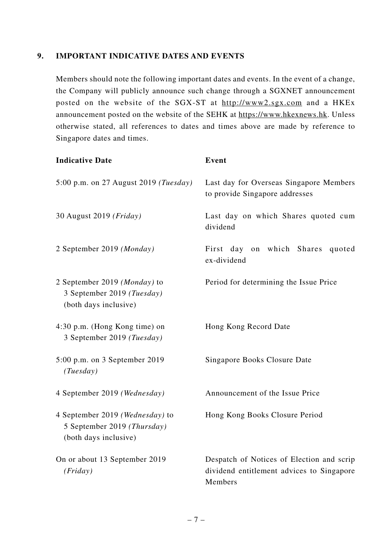### **9. IMPORTANT INDICATIVE DATES AND EVENTS**

Members should note the following important dates and events. In the event of a change, the Company will publicly announce such change through a SGXNET announcement posted on the website of the SGX-ST at http://www2.sgx.com and a HKEx announcement posted on the website of the SEHK at https://www.hkexnews.hk. Unless otherwise stated, all references to dates and times above are made by reference to Singapore dates and times.

| <b>Indicative Date</b>                                                                  | Event                                                                                             |
|-----------------------------------------------------------------------------------------|---------------------------------------------------------------------------------------------------|
| 5:00 p.m. on 27 August 2019 ( <i>Tuesday</i> )                                          | Last day for Overseas Singapore Members<br>to provide Singapore addresses                         |
| 30 August 2019 (Friday)                                                                 | Last day on which Shares quoted cum<br>dividend                                                   |
| 2 September 2019 (Monday)                                                               | First day on which Shares<br>quoted<br>ex-dividend                                                |
| 2 September 2019 (Monday) to<br>3 September 2019 (Tuesday)<br>(both days inclusive)     | Period for determining the Issue Price                                                            |
| 4:30 p.m. (Hong Kong time) on<br>3 September 2019 (Tuesday)                             | Hong Kong Record Date                                                                             |
| 5:00 p.m. on 3 September 2019<br>(Tuesday)                                              | Singapore Books Closure Date                                                                      |
| 4 September 2019 (Wednesday)                                                            | Announcement of the Issue Price                                                                   |
| 4 September 2019 (Wednesday) to<br>5 September 2019 (Thursday)<br>(both days inclusive) | Hong Kong Books Closure Period                                                                    |
| On or about 13 September 2019<br>(Friday)                                               | Despatch of Notices of Election and scrip<br>dividend entitlement advices to Singapore<br>Members |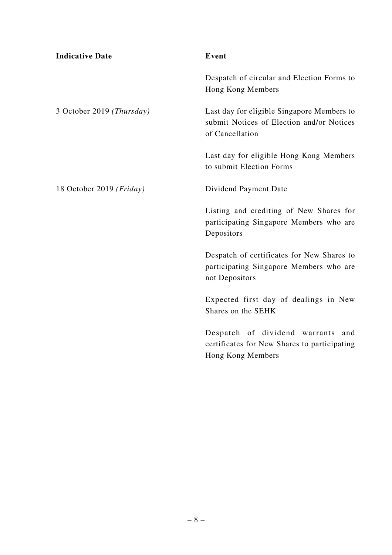| <b>Indicative Date</b>    | Event                                                                                                      |
|---------------------------|------------------------------------------------------------------------------------------------------------|
|                           | Despatch of circular and Election Forms to<br>Hong Kong Members                                            |
| 3 October 2019 (Thursday) | Last day for eligible Singapore Members to<br>submit Notices of Election and/or Notices<br>of Cancellation |
|                           | Last day for eligible Hong Kong Members<br>to submit Election Forms                                        |
| 18 October 2019 (Friday)  | Dividend Payment Date                                                                                      |
|                           | Listing and crediting of New Shares for<br>participating Singapore Members who are<br>Depositors           |
|                           | Despatch of certificates for New Shares to<br>participating Singapore Members who are<br>not Depositors    |
|                           | Expected first day of dealings in New<br>Shares on the SEHK                                                |
|                           | Despatch of dividend warrants<br>and<br>certificates for New Shares to participating<br>Hong Kong Members  |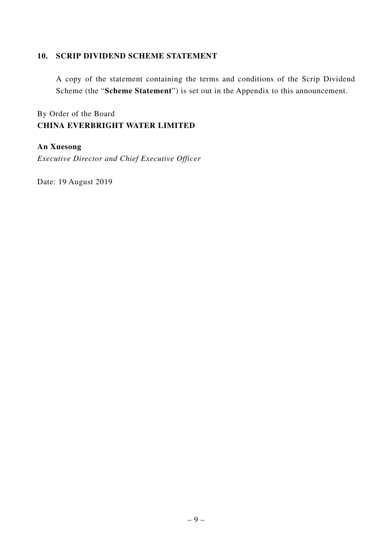#### **10. SCRIP DIVIDEND SCHEME STATEMENT**

A copy of the statement containing the terms and conditions of the Scrip Dividend Scheme (the "**Scheme Statement**") is set out in the Appendix to this announcement.

By Order of the Board **CHINA EVERBRIGHT WATER LIMITED**

## **An Xuesong**

*Executive Director and Chief Executive Officer*

Date: 19 August 2019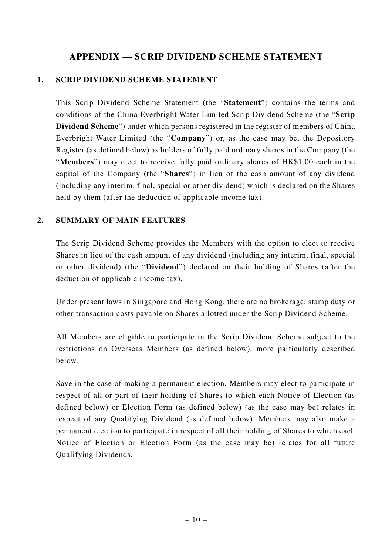## **APPENDIX — SCRIP DIVIDEND SCHEME STATEMENT**

## **1. SCRIP DIVIDEND SCHEME STATEMENT**

This Scrip Dividend Scheme Statement (the "**Statement**") contains the terms and conditions of the China Everbright Water Limited Scrip Dividend Scheme (the "**Scrip Dividend Scheme**") under which persons registered in the register of members of China Everbright Water Limited (the "**Company**") or, as the case may be, the Depository Register (as defined below) as holders of fully paid ordinary shares in the Company (the "**Members**") may elect to receive fully paid ordinary shares of HK\$1.00 each in the capital of the Company (the "**Shares**") in lieu of the cash amount of any dividend (including any interim, final, special or other dividend) which is declared on the Shares held by them (after the deduction of applicable income tax).

## **2. SUMMARY OF MAIN FEATURES**

The Scrip Dividend Scheme provides the Members with the option to elect to receive Shares in lieu of the cash amount of any dividend (including any interim, final, special or other dividend) (the "**Dividend**") declared on their holding of Shares (after the deduction of applicable income tax).

Under present laws in Singapore and Hong Kong, there are no brokerage, stamp duty or other transaction costs payable on Shares allotted under the Scrip Dividend Scheme.

All Members are eligible to participate in the Scrip Dividend Scheme subject to the restrictions on Overseas Members (as defined below), more particularly described below.

Save in the case of making a permanent election, Members may elect to participate in respect of all or part of their holding of Shares to which each Notice of Election (as defined below) or Election Form (as defined below) (as the case may be) relates in respect of any Qualifying Dividend (as defined below). Members may also make a permanent election to participate in respect of all their holding of Shares to which each Notice of Election or Election Form (as the case may be) relates for all future Qualifying Dividends.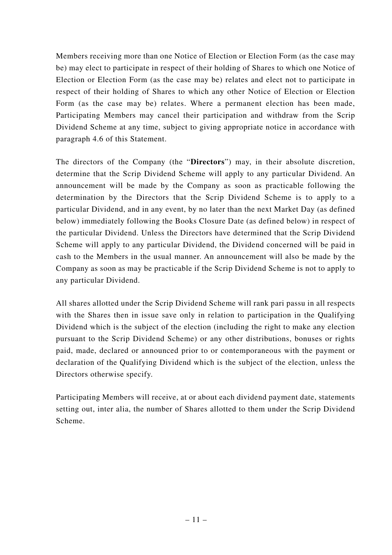Members receiving more than one Notice of Election or Election Form (as the case may be) may elect to participate in respect of their holding of Shares to which one Notice of Election or Election Form (as the case may be) relates and elect not to participate in respect of their holding of Shares to which any other Notice of Election or Election Form (as the case may be) relates. Where a permanent election has been made, Participating Members may cancel their participation and withdraw from the Scrip Dividend Scheme at any time, subject to giving appropriate notice in accordance with paragraph 4.6 of this Statement.

The directors of the Company (the "**Directors**") may, in their absolute discretion, determine that the Scrip Dividend Scheme will apply to any particular Dividend. An announcement will be made by the Company as soon as practicable following the determination by the Directors that the Scrip Dividend Scheme is to apply to a particular Dividend, and in any event, by no later than the next Market Day (as defined below) immediately following the Books Closure Date (as defined below) in respect of the particular Dividend. Unless the Directors have determined that the Scrip Dividend Scheme will apply to any particular Dividend, the Dividend concerned will be paid in cash to the Members in the usual manner. An announcement will also be made by the Company as soon as may be practicable if the Scrip Dividend Scheme is not to apply to any particular Dividend.

All shares allotted under the Scrip Dividend Scheme will rank pari passu in all respects with the Shares then in issue save only in relation to participation in the Qualifying Dividend which is the subject of the election (including the right to make any election pursuant to the Scrip Dividend Scheme) or any other distributions, bonuses or rights paid, made, declared or announced prior to or contemporaneous with the payment or declaration of the Qualifying Dividend which is the subject of the election, unless the Directors otherwise specify.

Participating Members will receive, at or about each dividend payment date, statements setting out, inter alia, the number of Shares allotted to them under the Scrip Dividend Scheme.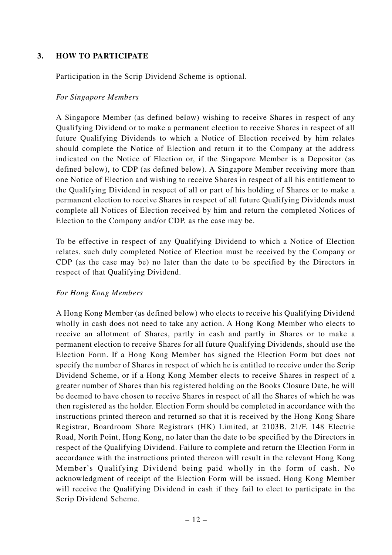## **3. HOW TO PARTICIPATE**

Participation in the Scrip Dividend Scheme is optional.

#### *For Singapore Members*

A Singapore Member (as defined below) wishing to receive Shares in respect of any Qualifying Dividend or to make a permanent election to receive Shares in respect of all future Qualifying Dividends to which a Notice of Election received by him relates should complete the Notice of Election and return it to the Company at the address indicated on the Notice of Election or, if the Singapore Member is a Depositor (as defined below), to CDP (as defined below). A Singapore Member receiving more than one Notice of Election and wishing to receive Shares in respect of all his entitlement to the Qualifying Dividend in respect of all or part of his holding of Shares or to make a permanent election to receive Shares in respect of all future Qualifying Dividends must complete all Notices of Election received by him and return the completed Notices of Election to the Company and/or CDP, as the case may be.

To be effective in respect of any Qualifying Dividend to which a Notice of Election relates, such duly completed Notice of Election must be received by the Company or CDP (as the case may be) no later than the date to be specified by the Directors in respect of that Qualifying Dividend.

#### *For Hong Kong Members*

A Hong Kong Member (as defined below) who elects to receive his Qualifying Dividend wholly in cash does not need to take any action. A Hong Kong Member who elects to receive an allotment of Shares, partly in cash and partly in Shares or to make a permanent election to receive Shares for all future Qualifying Dividends, should use the Election Form. If a Hong Kong Member has signed the Election Form but does not specify the number of Shares in respect of which he is entitled to receive under the Scrip Dividend Scheme, or if a Hong Kong Member elects to receive Shares in respect of a greater number of Shares than his registered holding on the Books Closure Date, he will be deemed to have chosen to receive Shares in respect of all the Shares of which he was then registered as the holder. Election Form should be completed in accordance with the instructions printed thereon and returned so that it is received by the Hong Kong Share Registrar, Boardroom Share Registrars (HK) Limited, at 2103B, 21/F, 148 Electric Road, North Point, Hong Kong, no later than the date to be specified by the Directors in respect of the Qualifying Dividend. Failure to complete and return the Election Form in accordance with the instructions printed thereon will result in the relevant Hong Kong Member's Qualifying Dividend being paid wholly in the form of cash. No acknowledgment of receipt of the Election Form will be issued. Hong Kong Member will receive the Qualifying Dividend in cash if they fail to elect to participate in the Scrip Dividend Scheme.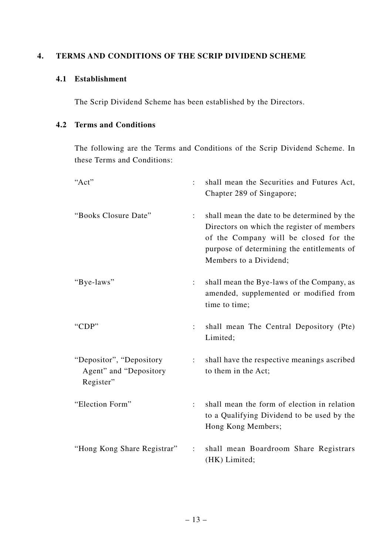#### **4. TERMS AND CONDITIONS OF THE SCRIP DIVIDEND SCHEME**

## **4.1 Establishment**

The Scrip Dividend Scheme has been established by the Directors.

## **4.2 Terms and Conditions**

The following are the Terms and Conditions of the Scrip Dividend Scheme. In these Terms and Conditions:

| "Act"                                                            |                      | shall mean the Securities and Futures Act,<br>Chapter 289 of Singapore;                                                                                                                                    |
|------------------------------------------------------------------|----------------------|------------------------------------------------------------------------------------------------------------------------------------------------------------------------------------------------------------|
| "Books Closure Date"                                             | $\ddot{\cdot}$       | shall mean the date to be determined by the<br>Directors on which the register of members<br>of the Company will be closed for the<br>purpose of determining the entitlements of<br>Members to a Dividend; |
| "Bye-laws"                                                       | $\ddot{\phantom{a}}$ | shall mean the Bye-laws of the Company, as<br>amended, supplemented or modified from<br>time to time;                                                                                                      |
| "CDP"                                                            |                      | shall mean The Central Depository (Pte)<br>Limited;                                                                                                                                                        |
| "Depositor", "Depository"<br>Agent" and "Depository<br>Register" | $\ddot{\cdot}$       | shall have the respective meanings ascribed<br>to them in the Act;                                                                                                                                         |
| "Election Form"                                                  |                      | shall mean the form of election in relation<br>to a Qualifying Dividend to be used by the<br>Hong Kong Members;                                                                                            |
| "Hong Kong Share Registrar"                                      |                      | shall mean Boardroom Share Registrars<br>(HK) Limited;                                                                                                                                                     |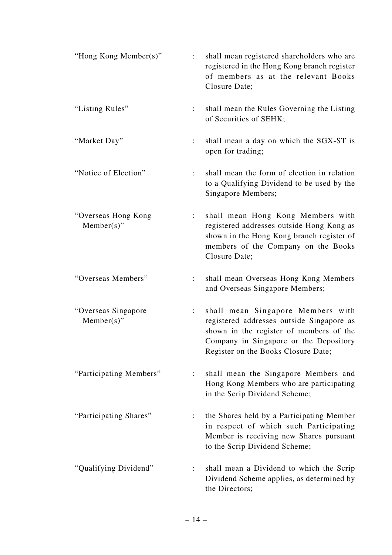| "Hong Kong Member(s)"                 |                      | shall mean registered shareholders who are<br>registered in the Hong Kong branch register<br>of members as at the relevant Books<br>Closure Date;                                                          |
|---------------------------------------|----------------------|------------------------------------------------------------------------------------------------------------------------------------------------------------------------------------------------------------|
| "Listing Rules"                       |                      | shall mean the Rules Governing the Listing<br>of Securities of SEHK;                                                                                                                                       |
| "Market Day"                          |                      | shall mean a day on which the SGX-ST is<br>open for trading;                                                                                                                                               |
| "Notice of Election"                  | $\ddot{\phantom{0}}$ | shall mean the form of election in relation<br>to a Qualifying Dividend to be used by the<br>Singapore Members;                                                                                            |
| "Overseas Hong Kong<br>$Member(s)$ "  |                      | shall mean Hong Kong Members with<br>registered addresses outside Hong Kong as<br>shown in the Hong Kong branch register of<br>members of the Company on the Books<br>Closure Date;                        |
| "Overseas Members"                    |                      | shall mean Overseas Hong Kong Members<br>and Overseas Singapore Members;                                                                                                                                   |
| "Overseas Singapore"<br>$Member(s)$ " |                      | shall mean Singapore Members with<br>registered addresses outside Singapore as<br>shown in the register of members of the<br>Company in Singapore or the Depository<br>Register on the Books Closure Date; |
| "Participating Members"               |                      | shall mean the Singapore Members and<br>Hong Kong Members who are participating<br>in the Scrip Dividend Scheme;                                                                                           |
| "Participating Shares"                |                      | the Shares held by a Participating Member<br>in respect of which such Participating<br>Member is receiving new Shares pursuant<br>to the Scrip Dividend Scheme;                                            |
| "Qualifying Dividend"                 |                      | shall mean a Dividend to which the Scrip<br>Dividend Scheme applies, as determined by<br>the Directors;                                                                                                    |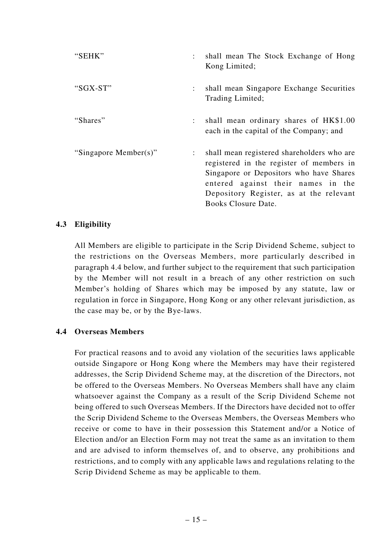| "SEHK"                |                           | shall mean The Stock Exchange of Hong<br>Kong Limited;                                                                                                                                                                                    |
|-----------------------|---------------------------|-------------------------------------------------------------------------------------------------------------------------------------------------------------------------------------------------------------------------------------------|
| "SGX-ST"              | $\ddot{\phantom{a}}$      | shall mean Singapore Exchange Securities<br>Trading Limited;                                                                                                                                                                              |
| "Shares"              |                           | shall mean ordinary shares of HK\$1.00<br>each in the capital of the Company; and                                                                                                                                                         |
| "Singapore Member(s)" | $\mathbb{R}^{\mathbb{Z}}$ | shall mean registered shareholders who are<br>registered in the register of members in<br>Singapore or Depositors who have Shares<br>entered against their names in the<br>Depository Register, as at the relevant<br>Books Closure Date. |

#### **4.3 Eligibility**

All Members are eligible to participate in the Scrip Dividend Scheme, subject to the restrictions on the Overseas Members, more particularly described in paragraph 4.4 below, and further subject to the requirement that such participation by the Member will not result in a breach of any other restriction on such Member's holding of Shares which may be imposed by any statute, law or regulation in force in Singapore, Hong Kong or any other relevant jurisdiction, as the case may be, or by the Bye-laws.

#### **4.4 Overseas Members**

For practical reasons and to avoid any violation of the securities laws applicable outside Singapore or Hong Kong where the Members may have their registered addresses, the Scrip Dividend Scheme may, at the discretion of the Directors, not be offered to the Overseas Members. No Overseas Members shall have any claim whatsoever against the Company as a result of the Scrip Dividend Scheme not being offered to such Overseas Members. If the Directors have decided not to offer the Scrip Dividend Scheme to the Overseas Members, the Overseas Members who receive or come to have in their possession this Statement and/or a Notice of Election and/or an Election Form may not treat the same as an invitation to them and are advised to inform themselves of, and to observe, any prohibitions and restrictions, and to comply with any applicable laws and regulations relating to the Scrip Dividend Scheme as may be applicable to them.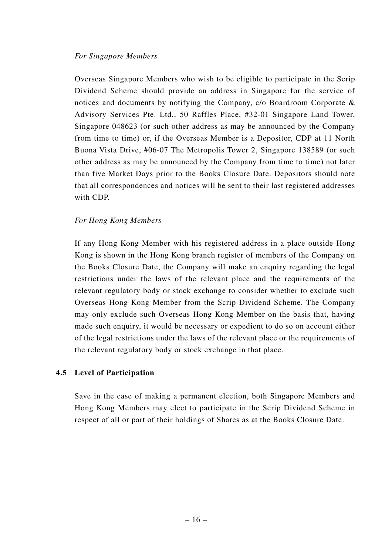Overseas Singapore Members who wish to be eligible to participate in the Scrip Dividend Scheme should provide an address in Singapore for the service of notices and documents by notifying the Company, c/o Boardroom Corporate & Advisory Services Pte. Ltd., 50 Raffles Place, #32-01 Singapore Land Tower, Singapore 048623 (or such other address as may be announced by the Company from time to time) or, if the Overseas Member is a Depositor, CDP at 11 North Buona Vista Drive, #06-07 The Metropolis Tower 2, Singapore 138589 (or such other address as may be announced by the Company from time to time) not later than five Market Days prior to the Books Closure Date. Depositors should note that all correspondences and notices will be sent to their last registered addresses with CDP.

## *For Hong Kong Members*

If any Hong Kong Member with his registered address in a place outside Hong Kong is shown in the Hong Kong branch register of members of the Company on the Books Closure Date, the Company will make an enquiry regarding the legal restrictions under the laws of the relevant place and the requirements of the relevant regulatory body or stock exchange to consider whether to exclude such Overseas Hong Kong Member from the Scrip Dividend Scheme. The Company may only exclude such Overseas Hong Kong Member on the basis that, having made such enquiry, it would be necessary or expedient to do so on account either of the legal restrictions under the laws of the relevant place or the requirements of the relevant regulatory body or stock exchange in that place.

#### **4.5 Level of Participation**

Save in the case of making a permanent election, both Singapore Members and Hong Kong Members may elect to participate in the Scrip Dividend Scheme in respect of all or part of their holdings of Shares as at the Books Closure Date.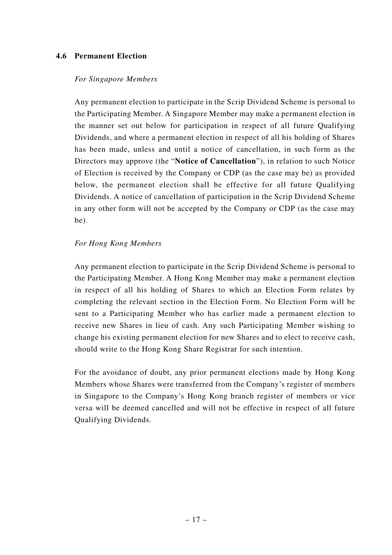#### **4.6 Permanent Election**

#### *For Singapore Members*

Any permanent election to participate in the Scrip Dividend Scheme is personal to the Participating Member. A Singapore Member may make a permanent election in the manner set out below for participation in respect of all future Qualifying Dividends, and where a permanent election in respect of all his holding of Shares has been made, unless and until a notice of cancellation, in such form as the Directors may approve (the "**Notice of Cancellation**"), in relation to such Notice of Election is received by the Company or CDP (as the case may be) as provided below, the permanent election shall be effective for all future Qualifying Dividends. A notice of cancellation of participation in the Scrip Dividend Scheme in any other form will not be accepted by the Company or CDP (as the case may be).

#### *For Hong Kong Members*

Any permanent election to participate in the Scrip Dividend Scheme is personal to the Participating Member. A Hong Kong Member may make a permanent election in respect of all his holding of Shares to which an Election Form relates by completing the relevant section in the Election Form. No Election Form will be sent to a Participating Member who has earlier made a permanent election to receive new Shares in lieu of cash. Any such Participating Member wishing to change his existing permanent election for new Shares and to elect to receive cash, should write to the Hong Kong Share Registrar for such intention.

For the avoidance of doubt, any prior permanent elections made by Hong Kong Members whose Shares were transferred from the Company's register of members in Singapore to the Company's Hong Kong branch register of members or vice versa will be deemed cancelled and will not be effective in respect of all future Qualifying Dividends.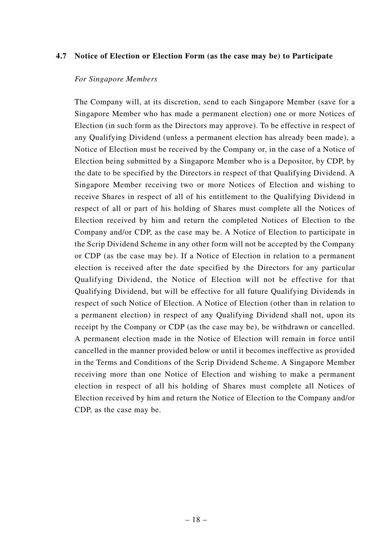#### **4.7 Notice of Election or Election Form (as the case may be) to Participate**

#### *For Singapore Members*

The Company will, at its discretion, send to each Singapore Member (save for a Singapore Member who has made a permanent election) one or more Notices of Election (in such form as the Directors may approve). To be effective in respect of any Qualifying Dividend (unless a permanent election has already been made), a Notice of Election must be received by the Company or, in the case of a Notice of Election being submitted by a Singapore Member who is a Depositor, by CDP, by the date to be specified by the Directors in respect of that Qualifying Dividend. A Singapore Member receiving two or more Notices of Election and wishing to receive Shares in respect of all of his entitlement to the Qualifying Dividend in respect of all or part of his holding of Shares must complete all the Notices of Election received by him and return the completed Notices of Election to the Company and/or CDP, as the case may be. A Notice of Election to participate in the Scrip Dividend Scheme in any other form will not be accepted by the Company or CDP (as the case may be). If a Notice of Election in relation to a permanent election is received after the date specified by the Directors for any particular Qualifying Dividend, the Notice of Election will not be effective for that Qualifying Dividend, but will be effective for all future Qualifying Dividends in respect of such Notice of Election. A Notice of Election (other than in relation to a permanent election) in respect of any Qualifying Dividend shall not, upon its receipt by the Company or CDP (as the case may be), be withdrawn or cancelled. A permanent election made in the Notice of Election will remain in force until cancelled in the manner provided below or until it becomes ineffective as provided in the Terms and Conditions of the Scrip Dividend Scheme. A Singapore Member receiving more than one Notice of Election and wishing to make a permanent election in respect of all his holding of Shares must complete all Notices of Election received by him and return the Notice of Election to the Company and/or CDP, as the case may be.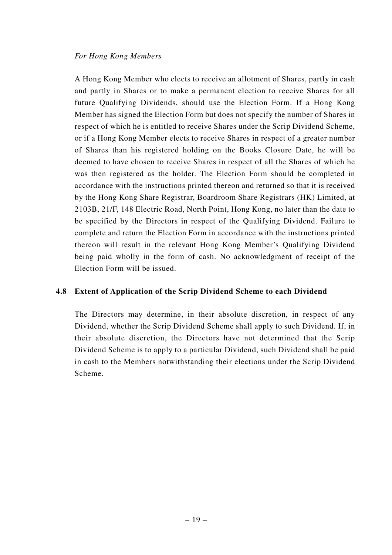#### *For Hong Kong Members*

A Hong Kong Member who elects to receive an allotment of Shares, partly in cash and partly in Shares or to make a permanent election to receive Shares for all future Qualifying Dividends, should use the Election Form. If a Hong Kong Member has signed the Election Form but does not specify the number of Shares in respect of which he is entitled to receive Shares under the Scrip Dividend Scheme, or if a Hong Kong Member elects to receive Shares in respect of a greater number of Shares than his registered holding on the Books Closure Date, he will be deemed to have chosen to receive Shares in respect of all the Shares of which he was then registered as the holder. The Election Form should be completed in accordance with the instructions printed thereon and returned so that it is received by the Hong Kong Share Registrar, Boardroom Share Registrars (HK) Limited, at 2103B, 21/F, 148 Electric Road, North Point, Hong Kong, no later than the date to be specified by the Directors in respect of the Qualifying Dividend. Failure to complete and return the Election Form in accordance with the instructions printed thereon will result in the relevant Hong Kong Member's Qualifying Dividend being paid wholly in the form of cash. No acknowledgment of receipt of the Election Form will be issued.

#### **4.8 Extent of Application of the Scrip Dividend Scheme to each Dividend**

The Directors may determine, in their absolute discretion, in respect of any Dividend, whether the Scrip Dividend Scheme shall apply to such Dividend. If, in their absolute discretion, the Directors have not determined that the Scrip Dividend Scheme is to apply to a particular Dividend, such Dividend shall be paid in cash to the Members notwithstanding their elections under the Scrip Dividend Scheme.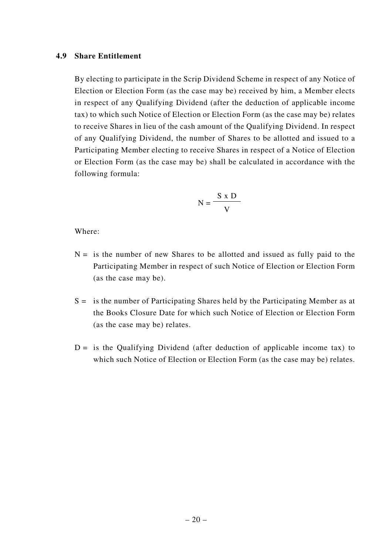#### **4.9 Share Entitlement**

By electing to participate in the Scrip Dividend Scheme in respect of any Notice of Election or Election Form (as the case may be) received by him, a Member elects in respect of any Qualifying Dividend (after the deduction of applicable income tax) to which such Notice of Election or Election Form (as the case may be) relates to receive Shares in lieu of the cash amount of the Qualifying Dividend. In respect of any Qualifying Dividend, the number of Shares to be allotted and issued to a Participating Member electing to receive Shares in respect of a Notice of Election or Election Form (as the case may be) shall be calculated in accordance with the following formula:

$$
N = \frac{S \times D}{V}
$$

Where:

- $N =$  is the number of new Shares to be allotted and issued as fully paid to the Participating Member in respect of such Notice of Election or Election Form (as the case may be).
- $S =$  is the number of Participating Shares held by the Participating Member as at the Books Closure Date for which such Notice of Election or Election Form (as the case may be) relates.
- $D =$  is the Qualifying Dividend (after deduction of applicable income tax) to which such Notice of Election or Election Form (as the case may be) relates.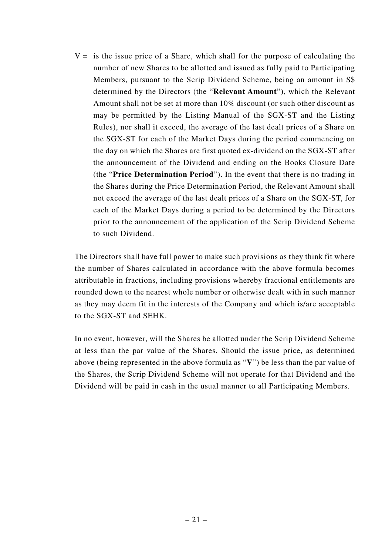$V =$  is the issue price of a Share, which shall for the purpose of calculating the number of new Shares to be allotted and issued as fully paid to Participating Members, pursuant to the Scrip Dividend Scheme, being an amount in S\$ determined by the Directors (the "**Relevant Amount**"), which the Relevant Amount shall not be set at more than 10% discount (or such other discount as may be permitted by the Listing Manual of the SGX-ST and the Listing Rules), nor shall it exceed, the average of the last dealt prices of a Share on the SGX-ST for each of the Market Days during the period commencing on the day on which the Shares are first quoted ex-dividend on the SGX-ST after the announcement of the Dividend and ending on the Books Closure Date (the "**Price Determination Period**"). In the event that there is no trading in the Shares during the Price Determination Period, the Relevant Amount shall not exceed the average of the last dealt prices of a Share on the SGX-ST, for each of the Market Days during a period to be determined by the Directors prior to the announcement of the application of the Scrip Dividend Scheme to such Dividend.

The Directors shall have full power to make such provisions as they think fit where the number of Shares calculated in accordance with the above formula becomes attributable in fractions, including provisions whereby fractional entitlements are rounded down to the nearest whole number or otherwise dealt with in such manner as they may deem fit in the interests of the Company and which is/are acceptable to the SGX-ST and SEHK.

In no event, however, will the Shares be allotted under the Scrip Dividend Scheme at less than the par value of the Shares. Should the issue price, as determined above (being represented in the above formula as "**V**") be less than the par value of the Shares, the Scrip Dividend Scheme will not operate for that Dividend and the Dividend will be paid in cash in the usual manner to all Participating Members.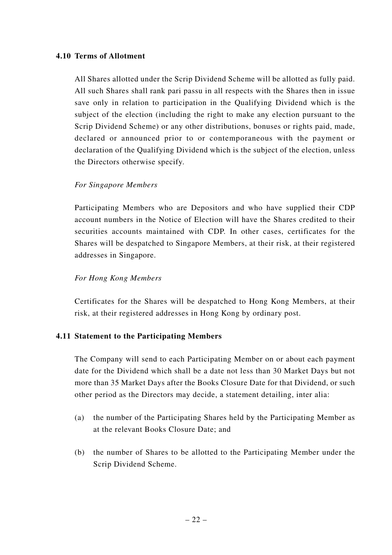#### **4.10 Terms of Allotment**

All Shares allotted under the Scrip Dividend Scheme will be allotted as fully paid. All such Shares shall rank pari passu in all respects with the Shares then in issue save only in relation to participation in the Qualifying Dividend which is the subject of the election (including the right to make any election pursuant to the Scrip Dividend Scheme) or any other distributions, bonuses or rights paid, made, declared or announced prior to or contemporaneous with the payment or declaration of the Qualifying Dividend which is the subject of the election, unless the Directors otherwise specify.

#### *For Singapore Members*

Participating Members who are Depositors and who have supplied their CDP account numbers in the Notice of Election will have the Shares credited to their securities accounts maintained with CDP. In other cases, certificates for the Shares will be despatched to Singapore Members, at their risk, at their registered addresses in Singapore.

#### *For Hong Kong Members*

Certificates for the Shares will be despatched to Hong Kong Members, at their risk, at their registered addresses in Hong Kong by ordinary post.

#### **4.11 Statement to the Participating Members**

The Company will send to each Participating Member on or about each payment date for the Dividend which shall be a date not less than 30 Market Days but not more than 35 Market Days after the Books Closure Date for that Dividend, or such other period as the Directors may decide, a statement detailing, inter alia:

- (a) the number of the Participating Shares held by the Participating Member as at the relevant Books Closure Date; and
- (b) the number of Shares to be allotted to the Participating Member under the Scrip Dividend Scheme.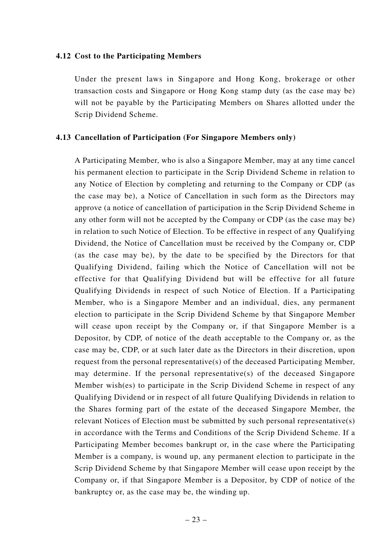#### **4.12 Cost to the Participating Members**

Under the present laws in Singapore and Hong Kong, brokerage or other transaction costs and Singapore or Hong Kong stamp duty (as the case may be) will not be payable by the Participating Members on Shares allotted under the Scrip Dividend Scheme.

#### **4.13 Cancellation of Participation (For Singapore Members only)**

A Participating Member, who is also a Singapore Member, may at any time cancel his permanent election to participate in the Scrip Dividend Scheme in relation to any Notice of Election by completing and returning to the Company or CDP (as the case may be), a Notice of Cancellation in such form as the Directors may approve (a notice of cancellation of participation in the Scrip Dividend Scheme in any other form will not be accepted by the Company or CDP (as the case may be) in relation to such Notice of Election. To be effective in respect of any Qualifying Dividend, the Notice of Cancellation must be received by the Company or, CDP (as the case may be), by the date to be specified by the Directors for that Qualifying Dividend, failing which the Notice of Cancellation will not be effective for that Qualifying Dividend but will be effective for all future Qualifying Dividends in respect of such Notice of Election. If a Participating Member, who is a Singapore Member and an individual, dies, any permanent election to participate in the Scrip Dividend Scheme by that Singapore Member will cease upon receipt by the Company or, if that Singapore Member is a Depositor, by CDP, of notice of the death acceptable to the Company or, as the case may be, CDP, or at such later date as the Directors in their discretion, upon request from the personal representative(s) of the deceased Participating Member, may determine. If the personal representative(s) of the deceased Singapore Member wish(es) to participate in the Scrip Dividend Scheme in respect of any Qualifying Dividend or in respect of all future Qualifying Dividends in relation to the Shares forming part of the estate of the deceased Singapore Member, the relevant Notices of Election must be submitted by such personal representative(s) in accordance with the Terms and Conditions of the Scrip Dividend Scheme. If a Participating Member becomes bankrupt or, in the case where the Participating Member is a company, is wound up, any permanent election to participate in the Scrip Dividend Scheme by that Singapore Member will cease upon receipt by the Company or, if that Singapore Member is a Depositor, by CDP of notice of the bankruptcy or, as the case may be, the winding up.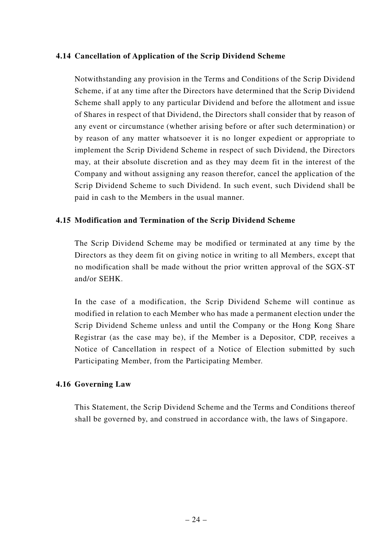#### **4.14 Cancellation of Application of the Scrip Dividend Scheme**

Notwithstanding any provision in the Terms and Conditions of the Scrip Dividend Scheme, if at any time after the Directors have determined that the Scrip Dividend Scheme shall apply to any particular Dividend and before the allotment and issue of Shares in respect of that Dividend, the Directors shall consider that by reason of any event or circumstance (whether arising before or after such determination) or by reason of any matter whatsoever it is no longer expedient or appropriate to implement the Scrip Dividend Scheme in respect of such Dividend, the Directors may, at their absolute discretion and as they may deem fit in the interest of the Company and without assigning any reason therefor, cancel the application of the Scrip Dividend Scheme to such Dividend. In such event, such Dividend shall be paid in cash to the Members in the usual manner.

## **4.15 Modification and Termination of the Scrip Dividend Scheme**

The Scrip Dividend Scheme may be modified or terminated at any time by the Directors as they deem fit on giving notice in writing to all Members, except that no modification shall be made without the prior written approval of the SGX-ST and/or SEHK.

In the case of a modification, the Scrip Dividend Scheme will continue as modified in relation to each Member who has made a permanent election under the Scrip Dividend Scheme unless and until the Company or the Hong Kong Share Registrar (as the case may be), if the Member is a Depositor, CDP, receives a Notice of Cancellation in respect of a Notice of Election submitted by such Participating Member, from the Participating Member.

#### **4.16 Governing Law**

This Statement, the Scrip Dividend Scheme and the Terms and Conditions thereof shall be governed by, and construed in accordance with, the laws of Singapore.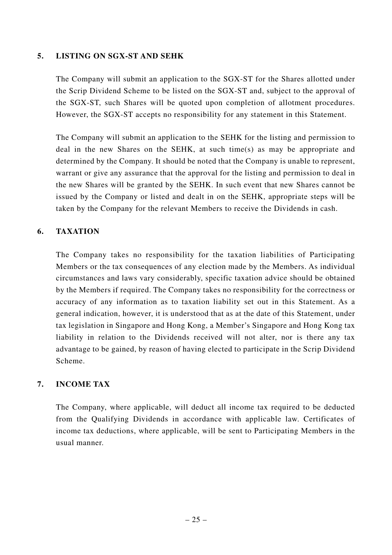### **5. LISTING ON SGX-ST AND SEHK**

The Company will submit an application to the SGX-ST for the Shares allotted under the Scrip Dividend Scheme to be listed on the SGX-ST and, subject to the approval of the SGX-ST, such Shares will be quoted upon completion of allotment procedures. However, the SGX-ST accepts no responsibility for any statement in this Statement.

The Company will submit an application to the SEHK for the listing and permission to deal in the new Shares on the SEHK, at such time(s) as may be appropriate and determined by the Company. It should be noted that the Company is unable to represent, warrant or give any assurance that the approval for the listing and permission to deal in the new Shares will be granted by the SEHK. In such event that new Shares cannot be issued by the Company or listed and dealt in on the SEHK, appropriate steps will be taken by the Company for the relevant Members to receive the Dividends in cash.

## **6. TAXATION**

The Company takes no responsibility for the taxation liabilities of Participating Members or the tax consequences of any election made by the Members. As individual circumstances and laws vary considerably, specific taxation advice should be obtained by the Members if required. The Company takes no responsibility for the correctness or accuracy of any information as to taxation liability set out in this Statement. As a general indication, however, it is understood that as at the date of this Statement, under tax legislation in Singapore and Hong Kong, a Member's Singapore and Hong Kong tax liability in relation to the Dividends received will not alter, nor is there any tax advantage to be gained, by reason of having elected to participate in the Scrip Dividend Scheme.

## **7. INCOME TAX**

The Company, where applicable, will deduct all income tax required to be deducted from the Qualifying Dividends in accordance with applicable law. Certificates of income tax deductions, where applicable, will be sent to Participating Members in the usual manner.